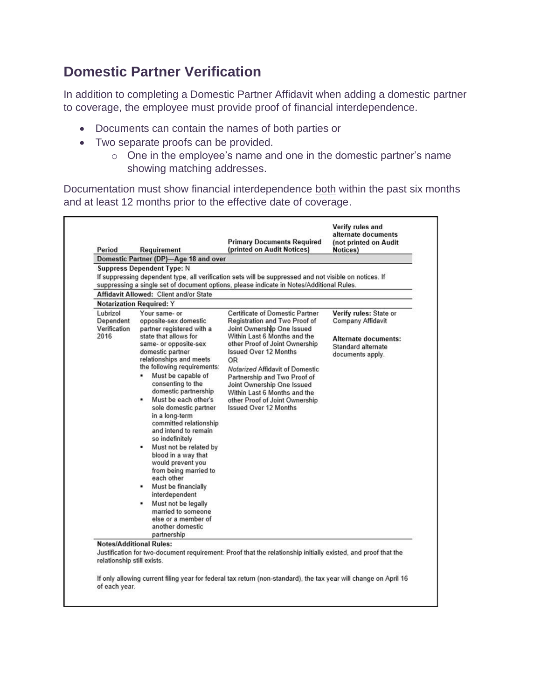## **Domestic Partner Verification**

In addition to completing a Domestic Partner Affidavit when adding a domestic partner to coverage, the employee must provide proof of financial interdependence.

- Documents can contain the names of both parties or
- Two separate proofs can be provided.
	- o One in the employee's name and one in the domestic partner's name showing matching addresses.

Documentation must show financial interdependence both within the past six months and at least 12 months prior to the effective date of coverage.

| Period                                        | Requirement                                                                                                                                   | <b>Primary Documents Required</b><br>(printed on Audit Notices)                                                                                                                                    | (not printed on Audit<br>Notices)                                   |
|-----------------------------------------------|-----------------------------------------------------------------------------------------------------------------------------------------------|----------------------------------------------------------------------------------------------------------------------------------------------------------------------------------------------------|---------------------------------------------------------------------|
|                                               | Domestic Partner (DP)-Age 18 and over                                                                                                         |                                                                                                                                                                                                    |                                                                     |
|                                               | <b>Suppress Dependent Type: N</b>                                                                                                             | If suppressing dependent type, all verification sets will be suppressed and not visible on notices. If<br>suppressing a single set of document options, please indicate in Notes/Additional Rules. |                                                                     |
|                                               | <b>Affidavit Allowed: Client and/or State</b>                                                                                                 |                                                                                                                                                                                                    |                                                                     |
|                                               | <b>Notarization Required: Y</b>                                                                                                               |                                                                                                                                                                                                    |                                                                     |
| Lubrizol<br>Dependent<br>Verification<br>2016 | Your same- or<br>opposite-sex domestic<br>partner registered with a<br>state that allows for                                                  | Certificate of Domestic Partner<br>Registration and Two Proof of<br>Joint Ownership One Issued<br>Within Last 6 Months and the                                                                     | Verify rules: State or<br>Company Affidavit<br>Alternate documents: |
|                                               | same- or opposite-sex<br>domestic partner<br>relationships and meets<br>the following requirements:                                           | other Proof of Joint Ownership<br><b>Issued Over 12 Months</b><br><b>OR</b><br>Notarized Affidavit of Domestic                                                                                     | Standard alternate<br>documents apply.                              |
|                                               | Must be capable of<br>٠<br>consenting to the<br>domestic partnership<br>Must be each other's<br>ж.<br>sole domestic partner<br>in a long-term | Partnership and Two Proof of<br>Joint Ownership One Issued<br>Within Last 6 Months and the<br>other Proof of Joint Ownership<br><b>Issued Over 12 Months</b>                                       |                                                                     |
|                                               | committed relationship<br>and intend to remain<br>so indefinitely<br>Must not be related by<br>٠                                              |                                                                                                                                                                                                    |                                                                     |
|                                               | blood in a way that<br>would prevent you<br>from being married to<br>each other                                                               |                                                                                                                                                                                                    |                                                                     |
|                                               | Must be financially<br>interdependent                                                                                                         |                                                                                                                                                                                                    |                                                                     |
|                                               | Must not be legally<br>٠<br>married to someone<br>else or a member of<br>another domestic<br>partnership                                      |                                                                                                                                                                                                    |                                                                     |
| relationship still exists.                    | <b>Notes/Additional Rules:</b>                                                                                                                | Justification for two-document requirement: Proof that the relationship initially existed, and proof that the                                                                                      |                                                                     |